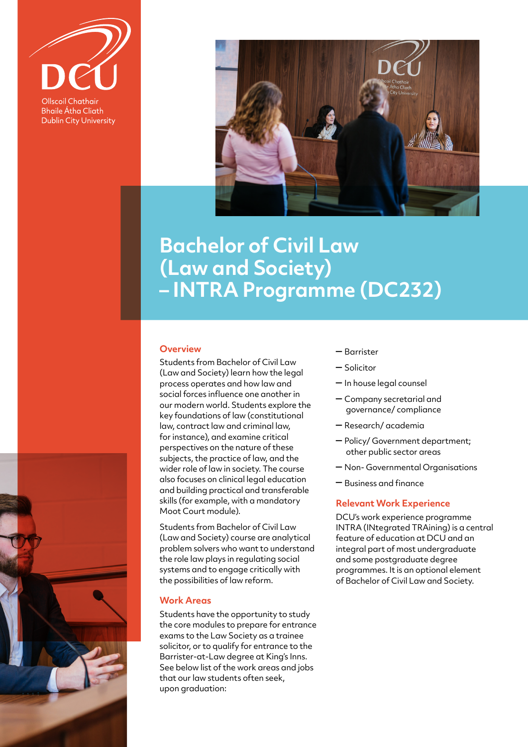

**Bhaile Átha Cliath Dublin City University** 



## **Bachelor of Civil Law (Law and Society) – INTRA Programme (DC232)**

## **Overview**

Students from Bachelor of Civil Law (Law and Society) learn how the legal process operates and how law and social forces influence one another in our modern world. Students explore the key foundations of law (constitutional law, contract law and criminal law, for instance), and examine critical perspectives on the nature of these subjects, the practice of law, and the wider role of law in society. The course also focuses on clinical legal education and building practical and transferable skills (for example, with a mandatory Moot Court module).

Students from Bachelor of Civil Law (Law and Society) course are analytical problem solvers who want to understand the role law plays in regulating social systems and to engage critically with the possibilities of law reform.

## **Work Areas**

Students have the opportunity to study the core modules to prepare for entrance exams to the Law Society as a trainee solicitor, or to qualify for entrance to the Barrister-at-Law degree at King's Inns. See below list of the work areas and jobs that our law students often seek, upon graduation:

- Barrister
- Solicitor
- In house legal counsel
- Company secretarial and governance/ compliance
- Research/ academia
- Policy/ Government department; other public sector areas
- Non- Governmental Organisations
- Business and finance

## **Relevant Work Experience**

DCU's work experience programme INTRA (INtegrated TRAining) is a central feature of education at DCU and an integral part of most undergraduate and some postgraduate degree programmes. It is an optional element of Bachelor of Civil Law and Society.